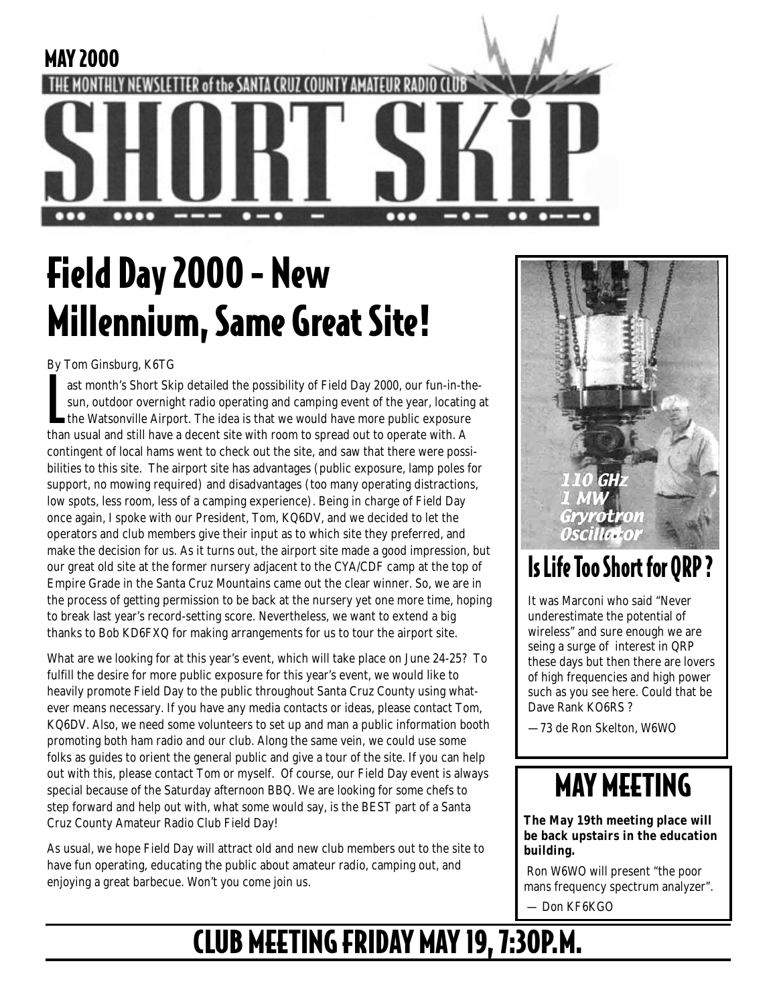

# Field Day 2000 - New Millennium, Same Great Site!

By Tom Ginsburg, K6TG

ast month's Short Skip detailed the possibility of Field Day 2000, our fun-in-t<br>sun, outdoor overnight radio operating and camping event of the year, locating<br>the Watsonville Airport. The idea is that we would have more pu ast month's Short Skip detailed the possibility of Field Day 2000, our fun-in-thesun, outdoor overnight radio operating and camping event of the year, locating at the Watsonville Airport. The idea is that we would have more public exposure contingent of local hams went to check out the site, and saw that there were possibilities to this site. The airport site has advantages (public exposure, lamp poles for support, no mowing required) and disadvantages (too many operating distractions, low spots, less room, less of a camping experience). Being in charge of Field Day once again, I spoke with our President, Tom, KQ6DV, and we decided to let the operators and club members give their input as to which site they preferred, and make the decision for us. As it turns out, the airport site made a good impression, but our great old site at the former nursery adjacent to the CYA/CDF camp at the top of Empire Grade in the Santa Cruz Mountains came out the clear winner. So, we are in the process of getting permission to be back at the nursery yet one more time, hoping to break last year's record-setting score. Nevertheless, we want to extend a big thanks to Bob KD6FXQ for making arrangements for us to tour the airport site.

What are we looking for at this year's event, which will take place on June 24-25? To fulfill the desire for more public exposure for this year's event, we would like to heavily promote Field Day to the public throughout Santa Cruz County using whatever means necessary. If you have any media contacts or ideas, please contact Tom, KQ6DV. Also, we need some volunteers to set up and man a public information booth promoting both ham radio and our club. Along the same vein, we could use some folks as guides to orient the general public and give a tour of the site. If you can help out with this, please contact Tom or myself. Of course, our Field Day event is always special because of the Saturday afternoon BBQ. We are looking for some chefs to step forward and help out with, what some would say, is the BEST part of a Santa Cruz County Amateur Radio Club Field Day!

As usual, we hope Field Day will attract old and new club members out to the site to have fun operating, educating the public about amateur radio, camping out, and enjoying a great barbecue. Won't you come join us.



### Is Life Too Short for QRP ?

It was Marconi who said "Never underestimate the potential of wireless" and sure enough we are seing a surge of interest in QRP these days but then there are lovers of high frequencies and high power such as you see here. Could that be Dave Rank KO6RS ?

—73 de Ron Skelton, W6WO

## MAY MEETING

**The May 19th meeting place will be back upstairs in the education building.**

 Ron W6WO will present "the poor mans frequency spectrum analyzer".

Don KF6KGO

## CLUB MEETING FRIDAY MAY 19, 7:30P.M.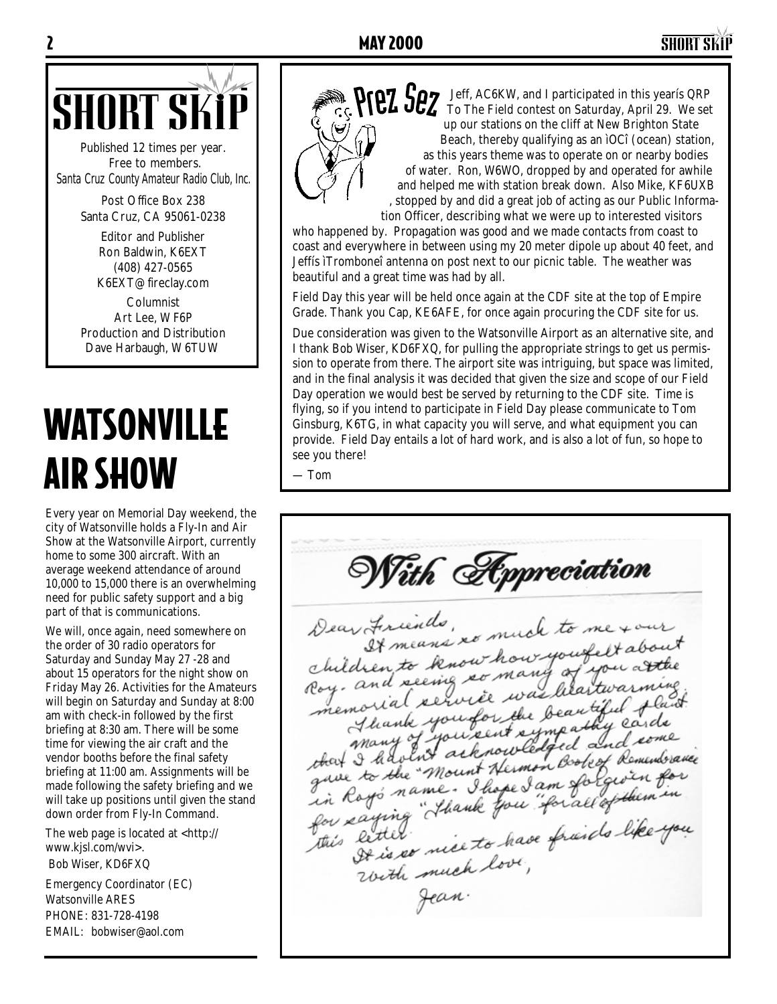### 2 MAY 2000 SHORT SKiP



Published 12 times per year. Free to members. *Santa Cruz County Amateur Radio Club, Inc.*

> Post Office Box 238 Santa Cruz, CA 95061-0238

> > Editor and Publisher Ron Baldwin, K6EXT (408) 427-0565 K6EXT@fireclay.com

Columnist Art Lee, WF6P Production and Distribution Dave Harbaugh, W6TUW

# WATSONVILLE AIR SHOW

Every year on Memorial Day weekend, the city of Watsonville holds a Fly-In and Air Show at the Watsonville Airport, currently home to some 300 aircraft. With an average weekend attendance of around 10,000 to 15,000 there is an overwhelming need for public safety support and a big part of that is communications.

We will, once again, need somewhere on the order of 30 radio operators for Saturday and Sunday May 27 -28 and about 15 operators for the night show on Friday May 26. Activities for the Amateurs will begin on Saturday and Sunday at 8:00 am with check-in followed by the first briefing at 8:30 am. There will be some time for viewing the air craft and the vendor booths before the final safety briefing at 11:00 am. Assignments will be made following the safety briefing and we will take up positions until given the stand down order from Fly-In Command.

The web page is located at <http:// www.kjsl.com/wvi>.

Bob Wiser, KD6FXQ

Emergency Coordinator (EC) Watsonville ARES PHONE: 831-728-4198 EMAIL: bobwiser@aol.com



Jeff, AC6KW, and I participated in this yearís QRP To The Field contest on Saturday, April 29. We set up our stations on the cliff at New Brighton State Beach, thereby qualifying as an ìOCî (ocean) station, as this years theme was to operate on or nearby bodies of water. Ron, W6WO, dropped by and operated for awhile and helped me with station break down. Also Mike, KF6UXB , stopped by and did a great job of acting as our Public Information Officer, describing what we were up to interested visitors

who happened by. Propagation was good and we made contacts from coast to coast and everywhere in between using my 20 meter dipole up about 40 feet, and Jeffís ìTromboneî antenna on post next to our picnic table. The weather was beautiful and a great time was had by all.

Field Day this year will be held once again at the CDF site at the top of Empire Grade. Thank you Cap, KE6AFE, for once again procuring the CDF site for us.

Due consideration was given to the Watsonville Airport as an alternative site, and I thank Bob Wiser, KD6FXQ, for pulling the appropriate strings to get us permission to operate from there. The airport site was intriguing, but space was limited, and in the final analysis it was decided that given the size and scope of our Field Day operation we would best be served by returning to the CDF site. Time is flying, so if you intend to participate in Field Day please communicate to Tom Ginsburg, K6TG, in what capacity you will serve, and what equipment you can provide. Field Day entails a lot of hard work, and is also a lot of fun, so hope to see you there!

— Tom

With Appreciation Dear Firinds, remark to me tour<br>children to know how youfelt about<br>children to know how youffelt about<br>Roy. and seeing so many of you at the Roy. and seeing so many at artwarming.<br>memorial service was litaritwarming.<br>memorial service the beautiful fland.<br>many you sent sympathy carde<br>that I have mount Hermon Bobest Remunbrance<br>are to the mome. I hope I am forgio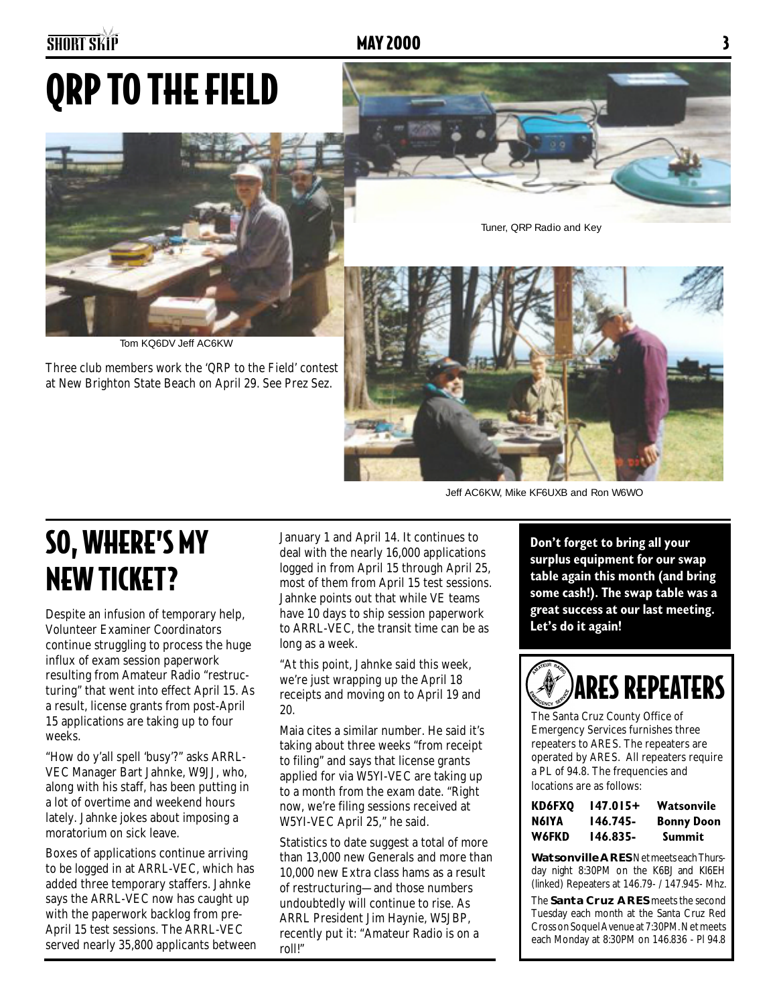# QRP TO THE FIELD



Tom KQ6DV Jeff AC6KW

Three club members work the 'QRP to the Field' contest at New Brighton State Beach on April 29. See Prez Sez.

Tuner, QRP Radio and Key



Jeff AC6KW, Mike KF6UXB and Ron W6WO

## SO, WHERE'S MY NEW TICKET?

Despite an infusion of temporary help, Volunteer Examiner Coordinators continue struggling to process the huge influx of exam session paperwork resulting from Amateur Radio "restructuring" that went into effect April 15. As a result, license grants from post-April 15 applications are taking up to four weeks.

"How do y'all spell 'busy'?" asks ARRL-VEC Manager Bart Jahnke, W9JJ, who, along with his staff, has been putting in a lot of overtime and weekend hours lately. Jahnke jokes about imposing a moratorium on sick leave.

Boxes of applications continue arriving to be logged in at ARRL-VEC, which has added three temporary staffers. Jahnke says the ARRL-VEC now has caught up with the paperwork backlog from pre-April 15 test sessions. The ARRL-VEC served nearly 35,800 applicants between January 1 and April 14. It continues to deal with the nearly 16,000 applications logged in from April 15 through April 25, most of them from April 15 test sessions. Jahnke points out that while VE teams have 10 days to ship session paperwork to ARRL-VEC, the transit time can be as long as a week.

"At this point, Jahnke said this week, we're just wrapping up the April 18 receipts and moving on to April 19 and 20.

Maia cites a similar number. He said it's taking about three weeks "from receipt to filing" and says that license grants applied for via W5YI-VEC are taking up to a month from the exam date. "Right now, we're filing sessions received at W5YI-VEC April 25," he said.

Statistics to date suggest a total of more than 13,000 new Generals and more than 10,000 new Extra class hams as a result of restructuring—and those numbers undoubtedly will continue to rise. As ARRL President Jim Haynie, W5JBP, recently put it: "Amateur Radio is on a roll!"

**Don't forget to bring all your surplus equipment for our swap table again this month (and bring some cash!). The swap table was a great success at our last meeting. Let's do it again!**



The Santa Cruz County Office of Emergency Services furnishes three repeaters to ARES. The repeaters are operated by ARES. All repeaters require a PL of 94.8. The frequencies and locations are as follows:

| KD6FXO | 147.015+ | Watsonvile        |
|--------|----------|-------------------|
| N6IYA  | 146.745- | <b>Bonny Doon</b> |
| W6FKD  | 146.835- | Summit            |

**Watsonville ARES** Net meets each Thursday night 8:30PM on the K6BJ and KI6EH (linked) Repeaters at 146.79- / 147.945- Mhz.

The **Santa Cruz ARES** meets the second Tuesday each month at the Santa Cruz Red Cross on Soquel Avenue at 7:30PM. Net meets each Monday at 8:30PM on 146.836 - Pl 94.8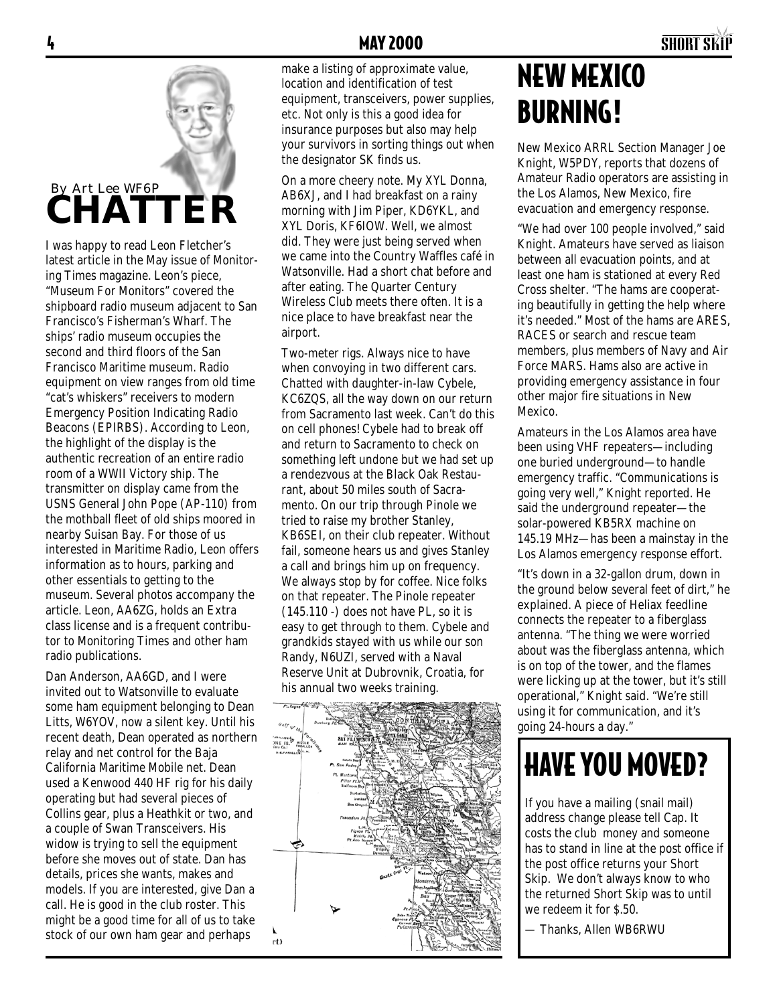### 4 MAY 2000 SHORT SKiP



I was happy to read Leon Fletcher's latest article in the May issue of Monitoring Times magazine. Leon's piece, "Museum For Monitors" covered the shipboard radio museum adjacent to San Francisco's Fisherman's Wharf. The ships' radio museum occupies the second and third floors of the San Francisco Maritime museum. Radio equipment on view ranges from old time "cat's whiskers" receivers to modern Emergency Position Indicating Radio Beacons (EPIRBS). According to Leon, the highlight of the display is the authentic recreation of an entire radio room of a WWII Victory ship. The transmitter on display came from the USNS General John Pope (AP-110) from the mothball fleet of old ships moored in nearby Suisan Bay. For those of us interested in Maritime Radio, Leon offers information as to hours, parking and other essentials to getting to the museum. Several photos accompany the article. Leon, AA6ZG, holds an Extra class license and is a frequent contributor to Monitoring Times and other ham radio publications.

Dan Anderson, AA6GD, and I were invited out to Watsonville to evaluate some ham equipment belonging to Dean Litts, W6YOV, now a silent key. Until his recent death, Dean operated as northern relay and net control for the Baja California Maritime Mobile net. Dean used a Kenwood 440 HF rig for his daily operating but had several pieces of Collins gear, plus a Heathkit or two, and a couple of Swan Transceivers. His widow is trying to sell the equipment before she moves out of state. Dan has details, prices she wants, makes and models. If you are interested, give Dan a call. He is good in the club roster. This might be a good time for all of us to take stock of our own ham gear and perhaps

make a listing of approximate value, location and identification of test equipment, transceivers, power supplies, etc. Not only is this a good idea for insurance purposes but also may help your survivors in sorting things out when the designator SK finds us.

On a more cheery note. My XYL Donna, AB6XJ, and I had breakfast on a rainy morning with Jim Piper, KD6YKL, and XYL Doris, KF6IOW. Well, we almost did. They were just being served when we came into the Country Waffles café in Watsonville. Had a short chat before and after eating. The Quarter Century Wireless Club meets there often. It is a nice place to have breakfast near the airport.

Two-meter rigs. Always nice to have when convoying in two different cars. Chatted with daughter-in-law Cybele, KC6ZQS, all the way down on our return from Sacramento last week. Can't do this on cell phones! Cybele had to break off and return to Sacramento to check on something left undone but we had set up a rendezvous at the Black Oak Restaurant, about 50 miles south of Sacramento. On our trip through Pinole we tried to raise my brother Stanley, KB6SEI, on their club repeater. Without fail, someone hears us and gives Stanley a call and brings him up on frequency. We always stop by for coffee. Nice folks on that repeater. The Pinole repeater  $(145.110 -)$  does not have PL, so it is easy to get through to them. Cybele and grandkids stayed with us while our son Randy, N6UZI, served with a Naval Reserve Unit at Dubrovnik, Croatia, for his annual two weeks training.



## NEW MEXICO BURNING!

New Mexico ARRL Section Manager Joe Knight, W5PDY, reports that dozens of Amateur Radio operators are assisting in the Los Alamos, New Mexico, fire evacuation and emergency response.

"We had over 100 people involved," said Knight. Amateurs have served as liaison between all evacuation points, and at least one ham is stationed at every Red Cross shelter. "The hams are cooperating beautifully in getting the help where it's needed." Most of the hams are ARES, RACES or search and rescue team members, plus members of Navy and Air Force MARS. Hams also are active in providing emergency assistance in four other major fire situations in New Mexico.

Amateurs in the Los Alamos area have been using VHF repeaters—including one buried underground—to handle emergency traffic. "Communications is going very well," Knight reported. He said the underground repeater—the solar-powered KB5RX machine on 145.19 MHz—has been a mainstay in the Los Alamos emergency response effort.

"It's down in a 32-gallon drum, down in the ground below several feet of dirt," he explained. A piece of Heliax feedline connects the repeater to a fiberglass antenna. "The thing we were worried about was the fiberglass antenna, which is on top of the tower, and the flames were licking up at the tower, but it's still operational," Knight said. "We're still using it for communication, and it's going 24-hours a day."

## HAVE YOU MOVED?

If you have a mailing (snail mail) address change please tell Cap. It costs the club money and someone has to stand in line at the post office if the post office returns your Short Skip. We don't always know to who the returned Short Skip was to until we redeem it for \$.50.

— Thanks, Allen WB6RWU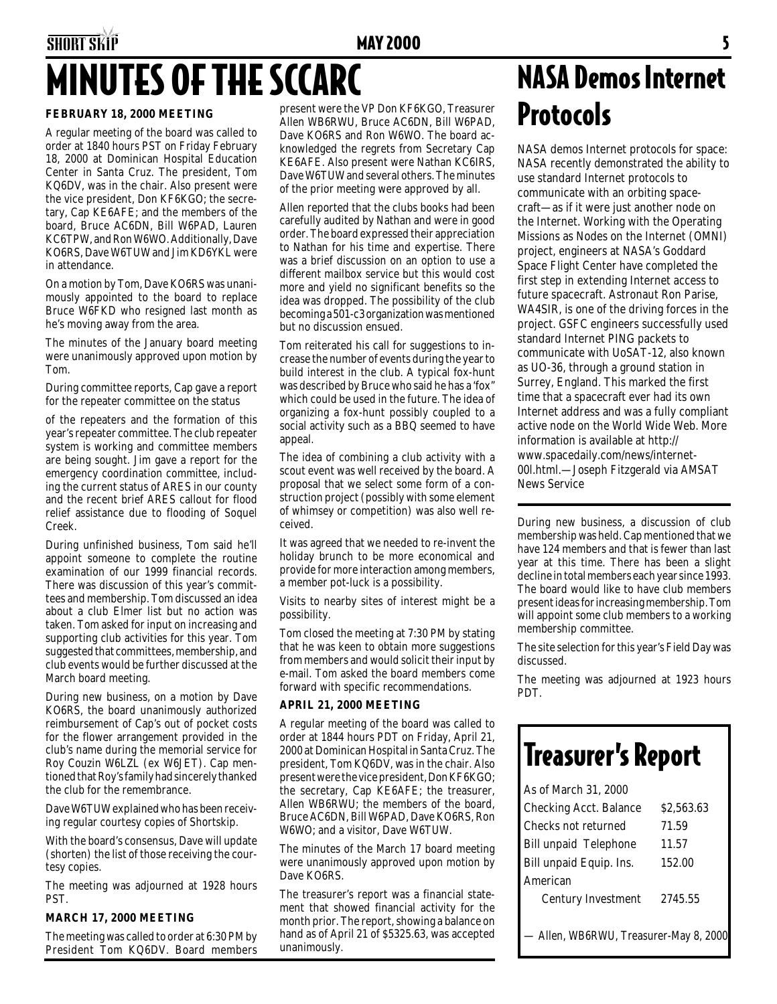## SHORT SKIP **MAY 2000** SHORT SKIP MINUTES OF THE SCCARC

### **FEBRUARY 18, 2000 MEETING**

A regular meeting of the board was called to order at 1840 hours PST on Friday February 18, 2000 at Dominican Hospital Education Center in Santa Cruz. The president, Tom KQ6DV, was in the chair. Also present were the vice president, Don KF6KGO; the secretary, Cap KE6AFE; and the members of the board, Bruce AC6DN, Bill W6PAD, Lauren KC6TPW, and Ron W6WO. Additionally, Dave KO6RS, Dave W6TUW and Jim KD6YKL were in attendance.

On a motion by Tom, Dave KO6RS was unanimously appointed to the board to replace Bruce W6FKD who resigned last month as he's moving away from the area.

The minutes of the January board meeting were unanimously approved upon motion by Tom.

During committee reports, Cap gave a report for the repeater committee on the status

of the repeaters and the formation of this year's repeater committee. The club repeater system is working and committee members are being sought. Jim gave a report for the emergency coordination committee, including the current status of ARES in our county and the recent brief ARES callout for flood relief assistance due to flooding of Soquel Creek.

During unfinished business, Tom said he'll appoint someone to complete the routine examination of our 1999 financial records. There was discussion of this year's committees and membership. Tom discussed an idea about a club Elmer list but no action was taken. Tom asked for input on increasing and supporting club activities for this year. Tom suggested that committees, membership, and club events would be further discussed at the March board meeting.

During new business, on a motion by Dave KO6RS, the board unanimously authorized reimbursement of Cap's out of pocket costs for the flower arrangement provided in the club's name during the memorial service for Roy Couzin W6LZL (ex W6JET). Cap mentioned that Roy's family had sincerely thanked the club for the remembrance.

Dave W6TUW explained who has been receiving regular courtesy copies of Shortskip.

With the board's consensus, Dave will update (shorten) the list of those receiving the courtesy copies.

The meeting was adjourned at 1928 hours PST.

### **MARCH 17, 2000 MEETING**

The meeting was called to order at 6:30 PM by President Tom KQ6DV. Board members

present were the VP Don KF6KGO, Treasurer Allen WB6RWU, Bruce AC6DN, Bill W6PAD, Dave KO6RS and Ron W6WO. The board acknowledged the regrets from Secretary Cap KE6AFE. Also present were Nathan KC6IRS, Dave W6TUW and several others. The minutes of the prior meeting were approved by all.

Allen reported that the clubs books had been carefully audited by Nathan and were in good order. The board expressed their appreciation to Nathan for his time and expertise. There was a brief discussion on an option to use a different mailbox service but this would cost more and yield no significant benefits so the idea was dropped. The possibility of the club becoming a 501-c3 organization was mentioned but no discussion ensued.

Tom reiterated his call for suggestions to increase the number of events during the year to build interest in the club. A typical fox-hunt was described by Bruce who said he has a 'fox" which could be used in the future. The idea of organizing a fox-hunt possibly coupled to a social activity such as a BBQ seemed to have appeal.

The idea of combining a club activity with a scout event was well received by the board. A proposal that we select some form of a construction project (possibly with some element of whimsey or competition) was also well received.

It was agreed that we needed to re-invent the holiday brunch to be more economical and provide for more interaction among members, a member pot-luck is a possibility.

Visits to nearby sites of interest might be a possibility.

Tom closed the meeting at 7:30 PM by stating that he was keen to obtain more suggestions from members and would solicit their input by e-mail. Tom asked the board members come forward with specific recommendations.

### **APRIL 21, 2000 MEETING**

A regular meeting of the board was called to order at 1844 hours PDT on Friday, April 21, 2000 at Dominican Hospital in Santa Cruz. The president, Tom KQ6DV, was in the chair. Also present were the vice president, Don KF6KGO; the secretary, Cap KE6AFE; the treasurer, Allen WB6RWU; the members of the board, Bruce AC6DN, Bill W6PAD, Dave KO6RS, Ron W6WO; and a visitor, Dave W6TUW.

The minutes of the March 17 board meeting were unanimously approved upon motion by Dave KO6RS.

The treasurer's report was a financial statement that showed financial activity for the month prior. The report, showing a balance on hand as of April 21 of \$5325.63, was accepted unanimously.

### NASA Demos Internet Protocols

NASA demos Internet protocols for space: NASA recently demonstrated the ability to use standard Internet protocols to communicate with an orbiting spacecraft—as if it were just another node on the Internet. Working with the Operating Missions as Nodes on the Internet (OMNI) project, engineers at NASA's Goddard Space Flight Center have completed the first step in extending Internet access to future spacecraft. Astronaut Ron Parise, WA4SIR, is one of the driving forces in the project. GSFC engineers successfully used standard Internet PING packets to communicate with UoSAT-12, also known as UO-36, through a ground station in Surrey, England. This marked the first time that a spacecraft ever had its own Internet address and was a fully compliant active node on the World Wide Web. More information is available at http:// www.spacedaily.com/news/internet-00l.html.—Joseph Fitzgerald via AMSAT News Service

During new business, a discussion of club membership was held. Cap mentioned that we have 124 members and that is fewer than last year at this time. There has been a slight decline in total members each year since 1993. The board would like to have club members present ideas for increasing membership. Tom will appoint some club members to a working membership committee.

The site selection for this year's Field Day was discussed.

The meeting was adjourned at 1923 hours PDT.

## Treasurer's Report

| As of March 31, 2000                   |            |  |  |  |
|----------------------------------------|------------|--|--|--|
| Checking Acct. Balance                 | \$2.563.63 |  |  |  |
| Checks not returned                    | 71.59      |  |  |  |
| Bill unpaid Telephone                  | 11.57      |  |  |  |
| Bill unpaid Equip. Ins.                | 152.00     |  |  |  |
| American                               |            |  |  |  |
| Century Investment                     | 2745.55    |  |  |  |
|                                        |            |  |  |  |
| - Allen, WB6RWU, Treasurer-May 8, 2000 |            |  |  |  |